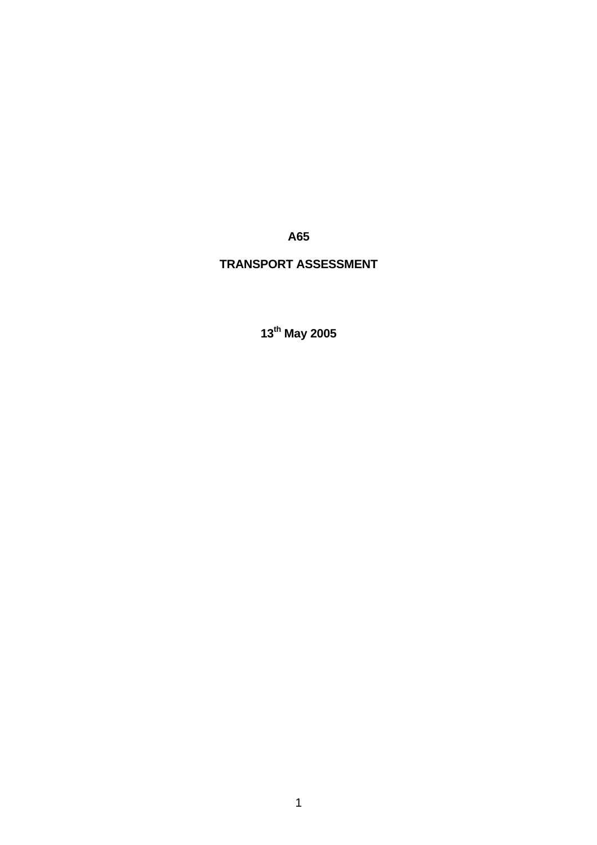*A65* **A65** 

# **TRANSPORT ASSESSMENT**

**13th May 2005**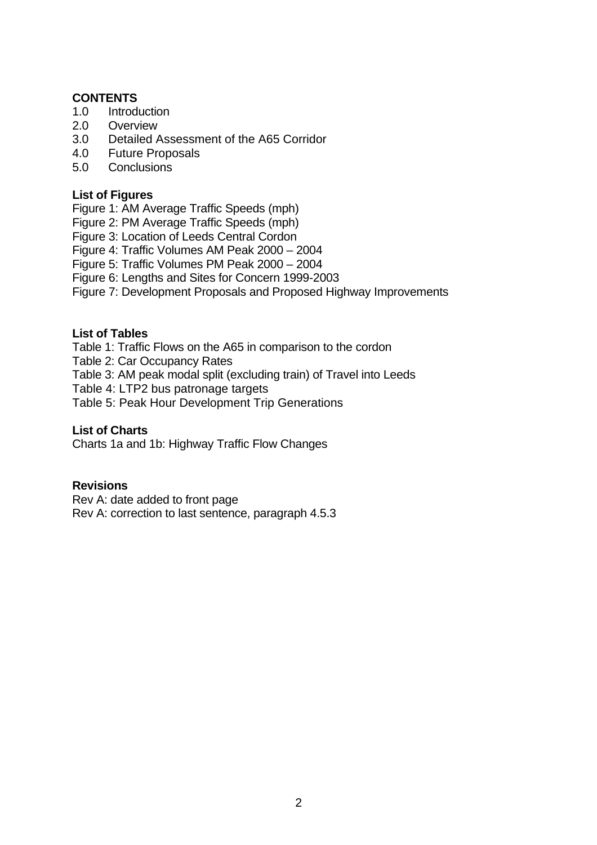# **CONTENTS**

- 1.0 Introduction
- 2.0 Overview
- 3.0 Detailed Assessment of the A65 Corridor
- 4.0 Future Proposals
- 5.0 Conclusions

#### **List of Figures**

Figure 1: AM Average Traffic Speeds (mph)

- Figure 2: PM Average Traffic Speeds (mph)
- Figure 3: Location of Leeds Central Cordon
- Figure 4: Traffic Volumes AM Peak 2000 2004
- Figure 5: Traffic Volumes PM Peak 2000 2004
- Figure 6: Lengths and Sites for Concern 1999-2003
- Figure 7: Development Proposals and Proposed Highway Improvements

#### **List of Tables**

Table 1: Traffic Flows on the A65 in comparison to the cordon

- Table 2: Car Occupancy Rates
- Table 3: AM peak modal split (excluding train) of Travel into Leeds
- Table 4: LTP2 bus patronage targets
- Table 5: Peak Hour Development Trip Generations

# **List of Charts**

Charts 1a and 1b: Highway Traffic Flow Changes

#### **Revisions**

Rev A: date added to front page Rev A: correction to last sentence, paragraph 4.5.3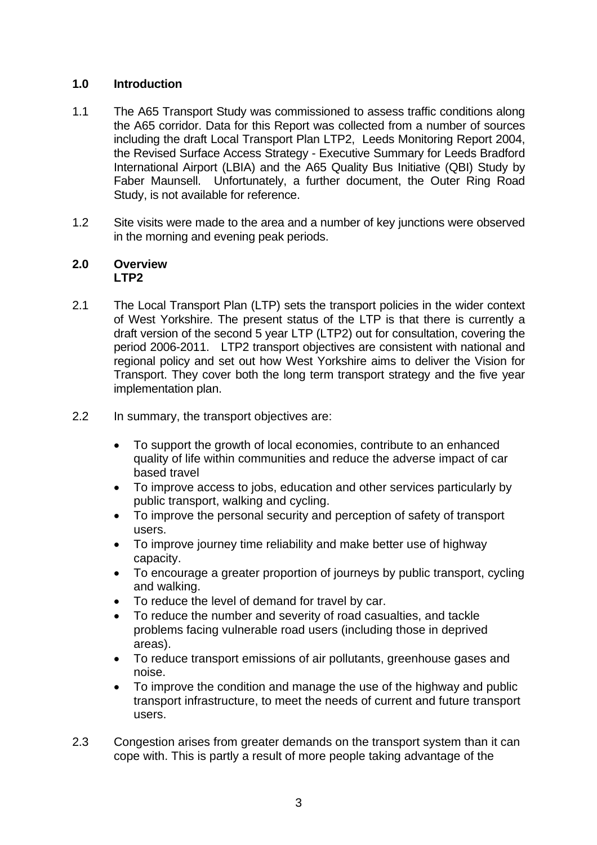# **1.0 Introduction**

- 1.1 The A65 Transport Study was commissioned to assess traffic conditions along the A65 corridor. Data for this Report was collected from a number of sources including the draft Local Transport Plan LTP2, Leeds Monitoring Report 2004, the Revised Surface Access Strategy - Executive Summary for Leeds Bradford International Airport (LBIA) and the A65 Quality Bus Initiative (QBI) Study by Faber Maunsell. Unfortunately, a further document, the Outer Ring Road Study, is not available for reference.
- 1.2 Site visits were made to the area and a number of key junctions were observed in the morning and evening peak periods.

#### **2.0 Overview LTP2**

- 2.1 The Local Transport Plan (LTP) sets the transport policies in the wider context of West Yorkshire. The present status of the LTP is that there is currently a draft version of the second 5 year LTP (LTP2) out for consultation, covering the period 2006-2011. LTP2 transport objectives are consistent with national and regional policy and set out how West Yorkshire aims to deliver the Vision for Transport. They cover both the long term transport strategy and the five year implementation plan.
- 2.2 In summary, the transport objectives are:
	- To support the growth of local economies, contribute to an enhanced quality of life within communities and reduce the adverse impact of car based travel
	- To improve access to jobs, education and other services particularly by public transport, walking and cycling.
	- To improve the personal security and perception of safety of transport users.
	- To improve journey time reliability and make better use of highway capacity.
	- To encourage a greater proportion of journeys by public transport, cycling and walking.
	- To reduce the level of demand for travel by car.
	- To reduce the number and severity of road casualties, and tackle problems facing vulnerable road users (including those in deprived areas).
	- To reduce transport emissions of air pollutants, greenhouse gases and noise.
	- To improve the condition and manage the use of the highway and public transport infrastructure, to meet the needs of current and future transport users.
- 2.3 Congestion arises from greater demands on the transport system than it can cope with. This is partly a result of more people taking advantage of the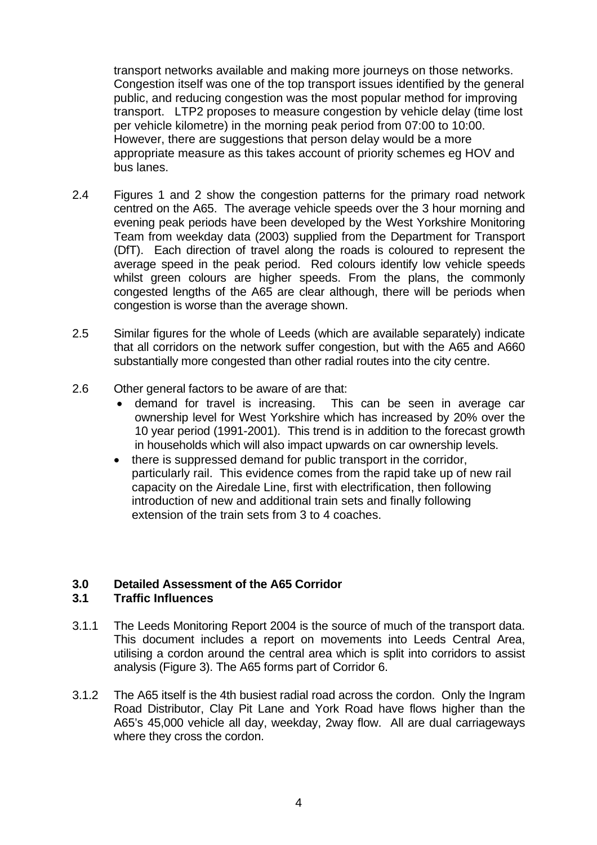transport networks available and making more journeys on those networks. Congestion itself was one of the top transport issues identified by the general public, and reducing congestion was the most popular method for improving transport. LTP2 proposes to measure congestion by vehicle delay (time lost per vehicle kilometre) in the morning peak period from 07:00 to 10:00. However, there are suggestions that person delay would be a more appropriate measure as this takes account of priority schemes eg HOV and bus lanes.

- 2.4 Figures 1 and 2 show the congestion patterns for the primary road network centred on the A65. The average vehicle speeds over the 3 hour morning and evening peak periods have been developed by the West Yorkshire Monitoring Team from weekday data (2003) supplied from the Department for Transport (DfT). Each direction of travel along the roads is coloured to represent the average speed in the peak period. Red colours identify low vehicle speeds whilst green colours are higher speeds. From the plans, the commonly congested lengths of the A65 are clear although, there will be periods when congestion is worse than the average shown.
- 2.5 Similar figures for the whole of Leeds (which are available separately) indicate that all corridors on the network suffer congestion, but with the A65 and A660 substantially more congested than other radial routes into the city centre.
- 2.6 Other general factors to be aware of are that:
	- demand for travel is increasing. This can be seen in average car ownership level for West Yorkshire which has increased by 20% over the 10 year period (1991-2001). This trend is in addition to the forecast growth in households which will also impact upwards on car ownership levels.
	- there is suppressed demand for public transport in the corridor, particularly rail. This evidence comes from the rapid take up of new rail capacity on the Airedale Line, first with electrification, then following introduction of new and additional train sets and finally following extension of the train sets from 3 to 4 coaches.

#### **3.0 Detailed Assessment of the A65 Corridor 3.1 Traffic Influences**

- 3.1.1 The Leeds Monitoring Report 2004 is the source of much of the transport data. This document includes a report on movements into Leeds Central Area, utilising a cordon around the central area which is split into corridors to assist analysis (Figure 3). The A65 forms part of Corridor 6.
- 3.1.2 The A65 itself is the 4th busiest radial road across the cordon. Only the Ingram Road Distributor, Clay Pit Lane and York Road have flows higher than the A65's 45,000 vehicle all day, weekday, 2way flow. All are dual carriageways where they cross the cordon.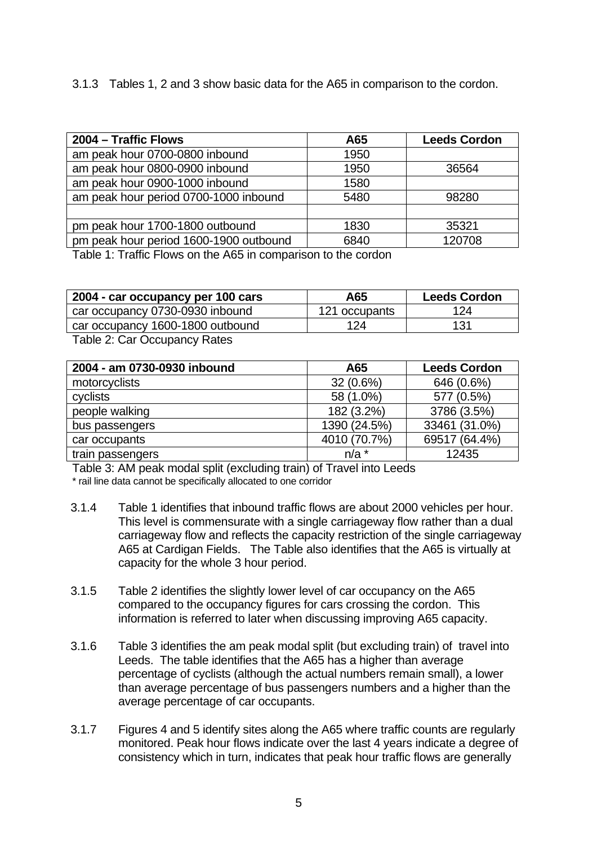3.1.3 Tables 1, 2 and 3 show basic data for the A65 in comparison to the cordon.

| 2004 – Traffic Flows                   | A65  | <b>Leeds Cordon</b> |
|----------------------------------------|------|---------------------|
| am peak hour 0700-0800 inbound         | 1950 |                     |
| am peak hour 0800-0900 inbound         | 1950 | 36564               |
| am peak hour 0900-1000 inbound         | 1580 |                     |
| am peak hour period 0700-1000 inbound  | 5480 | 98280               |
|                                        |      |                     |
| pm peak hour 1700-1800 outbound        | 1830 | 35321               |
| pm peak hour period 1600-1900 outbound | 6840 | 120708              |

Table 1: Traffic Flows on the A65 in comparison to the cordon

| 2004 - car occupancy per 100 cars | A65           | <b>Leeds Cordon</b> |
|-----------------------------------|---------------|---------------------|
| car occupancy 0730-0930 inbound   | 121 occupants | 124                 |
| car occupancy 1600-1800 outbound  | 124           | 131                 |

Table 2: Car Occupancy Rates

| 2004 - am 0730-0930 inbound | A65          | <b>Leeds Cordon</b> |  |
|-----------------------------|--------------|---------------------|--|
| motorcyclists               | $32(0.6\%)$  | 646 (0.6%)          |  |
| cyclists                    | 58 (1.0%)    | 577 (0.5%)          |  |
| people walking              | 182 (3.2%)   | 3786 (3.5%)         |  |
| bus passengers              | 1390 (24.5%) | 33461 (31.0%)       |  |
| car occupants               | 4010 (70.7%) | 69517 (64.4%)       |  |
| train passengers            | $n/a$ *      | 12435               |  |

Table 3: AM peak modal split (excluding train) of Travel into Leeds \* rail line data cannot be specifically allocated to one corridor

- 3.1.4 Table 1 identifies that inbound traffic flows are about 2000 vehicles per hour. This level is commensurate with a single carriageway flow rather than a dual carriageway flow and reflects the capacity restriction of the single carriageway A65 at Cardigan Fields. The Table also identifies that the A65 is virtually at capacity for the whole 3 hour period.
- 3.1.5 Table 2 identifies the slightly lower level of car occupancy on the A65 compared to the occupancy figures for cars crossing the cordon. This information is referred to later when discussing improving A65 capacity.
- 3.1.6 Table 3 identifies the am peak modal split (but excluding train) of travel into Leeds. The table identifies that the A65 has a higher than average percentage of cyclists (although the actual numbers remain small), a lower than average percentage of bus passengers numbers and a higher than the average percentage of car occupants.
- 3.1.7 Figures 4 and 5 identify sites along the A65 where traffic counts are regularly monitored. Peak hour flows indicate over the last 4 years indicate a degree of consistency which in turn, indicates that peak hour traffic flows are generally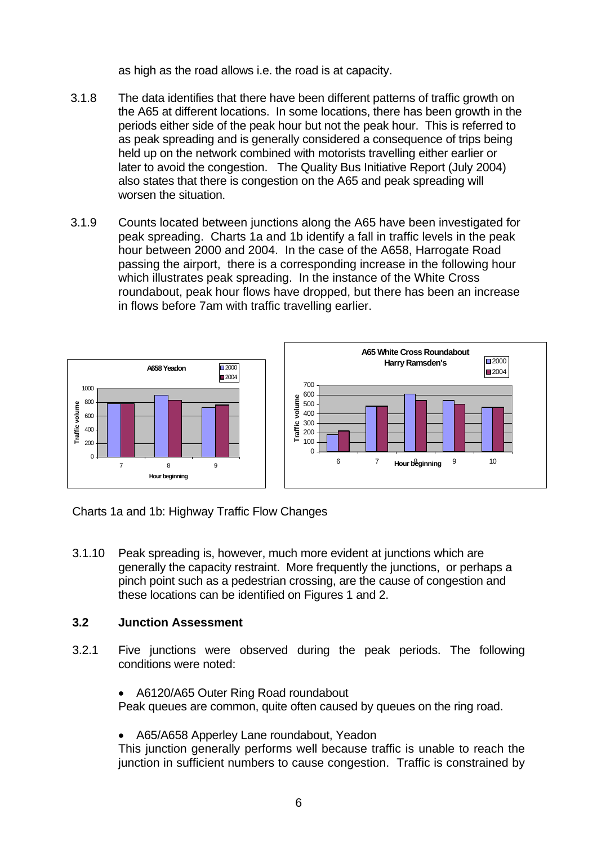as high as the road allows i.e. the road is at capacity.

- 3.1.8 The data identifies that there have been different patterns of traffic growth on the A65 at different locations. In some locations, there has been growth in the periods either side of the peak hour but not the peak hour. This is referred to as peak spreading and is generally considered a consequence of trips being held up on the network combined with motorists travelling either earlier or later to avoid the congestion. The Quality Bus Initiative Report (July 2004) also states that there is congestion on the A65 and peak spreading will worsen the situation.
- 3.1.9 Counts located between junctions along the A65 have been investigated for peak spreading. Charts 1a and 1b identify a fall in traffic levels in the peak hour between 2000 and 2004. In the case of the A658, Harrogate Road passing the airport, there is a corresponding increase in the following hour which illustrates peak spreading. In the instance of the White Cross roundabout, peak hour flows have dropped, but there has been an increase in flows before 7am with traffic travelling earlier.



Charts 1a and 1b: Highway Traffic Flow Changes

3.1.10 Peak spreading is, however, much more evident at junctions which are generally the capacity restraint. More frequently the junctions, or perhaps a pinch point such as a pedestrian crossing, are the cause of congestion and these locations can be identified on Figures 1 and 2.

# **3.2 Junction Assessment**

- 3.2.1 Five junctions were observed during the peak periods. The following conditions were noted:
	- A6120/A65 Outer Ring Road roundabout

Peak queues are common, quite often caused by queues on the ring road.

• A65/A658 Apperley Lane roundabout, Yeadon

This junction generally performs well because traffic is unable to reach the junction in sufficient numbers to cause congestion. Traffic is constrained by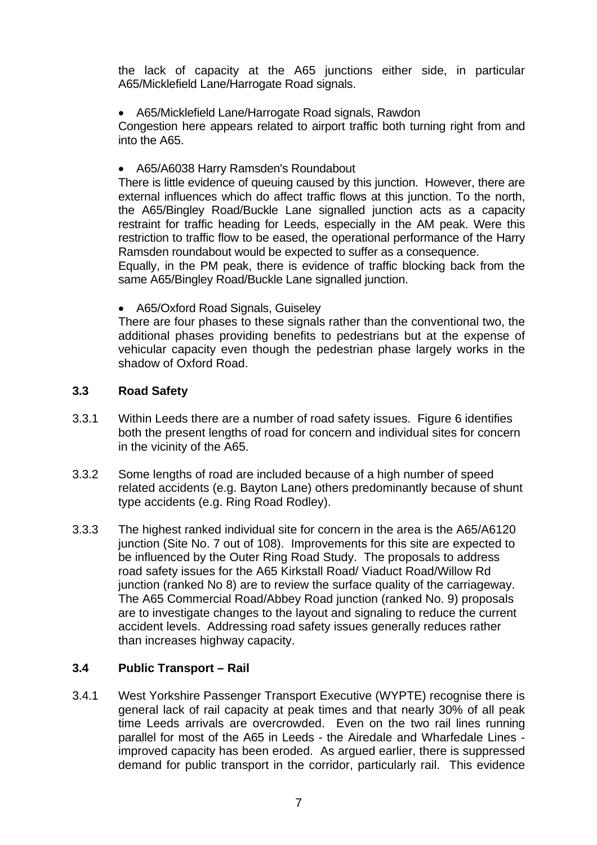the lack of capacity at the A65 junctions either side, in particular A65/Micklefield Lane/Harrogate Road signals.

• A65/Micklefield Lane/Harrogate Road signals, Rawdon

Congestion here appears related to airport traffic both turning right from and into the A65.

• A65/A6038 Harry Ramsden's Roundabout

There is little evidence of queuing caused by this junction. However, there are external influences which do affect traffic flows at this junction. To the north, the A65/Bingley Road/Buckle Lane signalled junction acts as a capacity restraint for traffic heading for Leeds, especially in the AM peak. Were this restriction to traffic flow to be eased, the operational performance of the Harry Ramsden roundabout would be expected to suffer as a consequence.

Equally, in the PM peak, there is evidence of traffic blocking back from the same A65/Bingley Road/Buckle Lane signalled junction.

• A65/Oxford Road Signals, Guiseley

There are four phases to these signals rather than the conventional two, the additional phases providing benefits to pedestrians but at the expense of vehicular capacity even though the pedestrian phase largely works in the shadow of Oxford Road.

# **3.3 Road Safety**

- 3.3.1 Within Leeds there are a number of road safety issues. Figure 6 identifies both the present lengths of road for concern and individual sites for concern in the vicinity of the A65.
- 3.3.2 Some lengths of road are included because of a high number of speed related accidents (e.g. Bayton Lane) others predominantly because of shunt type accidents (e.g. Ring Road Rodley).
- 3.3.3 The highest ranked individual site for concern in the area is the A65/A6120 junction (Site No. 7 out of 108). Improvements for this site are expected to be influenced by the Outer Ring Road Study. The proposals to address road safety issues for the A65 Kirkstall Road/ Viaduct Road/Willow Rd junction (ranked No 8) are to review the surface quality of the carriageway. The A65 Commercial Road/Abbey Road junction (ranked No. 9) proposals are to investigate changes to the layout and signaling to reduce the current accident levels. Addressing road safety issues generally reduces rather than increases highway capacity.

# **3.4 Public Transport – Rail**

3.4.1 West Yorkshire Passenger Transport Executive (WYPTE) recognise there is general lack of rail capacity at peak times and that nearly 30% of all peak time Leeds arrivals are overcrowded. Even on the two rail lines running parallel for most of the A65 in Leeds - the Airedale and Wharfedale Lines improved capacity has been eroded. As argued earlier, there is suppressed demand for public transport in the corridor, particularly rail. This evidence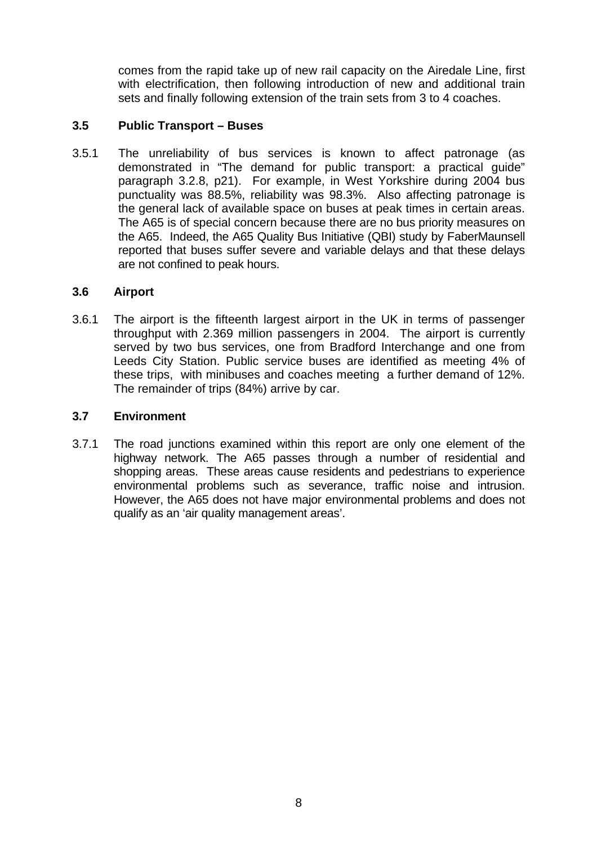comes from the rapid take up of new rail capacity on the Airedale Line, first with electrification, then following introduction of new and additional train sets and finally following extension of the train sets from 3 to 4 coaches.

# **3.5 Public Transport – Buses**

3.5.1 The unreliability of bus services is known to affect patronage (as demonstrated in "The demand for public transport: a practical guide" paragraph 3.2.8, p21). For example, in West Yorkshire during 2004 bus punctuality was 88.5%, reliability was 98.3%. Also affecting patronage is the general lack of available space on buses at peak times in certain areas. The A65 is of special concern because there are no bus priority measures on the A65. Indeed, the A65 Quality Bus Initiative (QBI) study by FaberMaunsell reported that buses suffer severe and variable delays and that these delays are not confined to peak hours.

# **3.6 Airport**

3.6.1 The airport is the fifteenth largest airport in the UK in terms of passenger throughput with 2.369 million passengers in 2004. The airport is currently served by two bus services, one from Bradford Interchange and one from Leeds City Station. Public service buses are identified as meeting 4% of these trips, with minibuses and coaches meeting a further demand of 12%. The remainder of trips (84%) arrive by car.

# **3.7 Environment**

3.7.1 The road junctions examined within this report are only one element of the highway network. The A65 passes through a number of residential and shopping areas. These areas cause residents and pedestrians to experience environmental problems such as severance, traffic noise and intrusion. However, the A65 does not have major environmental problems and does not qualify as an 'air quality management areas'.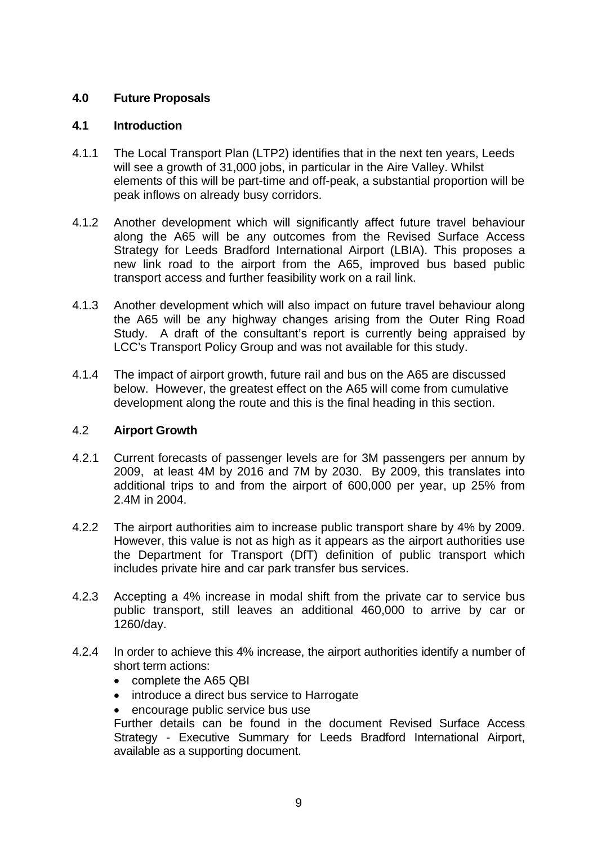# **4.0 Future Proposals**

# **4.1 Introduction**

- 4.1.1 The Local Transport Plan (LTP2) identifies that in the next ten years, Leeds will see a growth of 31,000 jobs, in particular in the Aire Valley. Whilst elements of this will be part-time and off-peak, a substantial proportion will be peak inflows on already busy corridors.
- 4.1.2 Another development which will significantly affect future travel behaviour along the A65 will be any outcomes from the Revised Surface Access Strategy for Leeds Bradford International Airport (LBIA). This proposes a new link road to the airport from the A65, improved bus based public transport access and further feasibility work on a rail link.
- 4.1.3 Another development which will also impact on future travel behaviour along the A65 will be any highway changes arising from the Outer Ring Road Study. A draft of the consultant's report is currently being appraised by LCC's Transport Policy Group and was not available for this study.
- 4.1.4 The impact of airport growth, future rail and bus on the A65 are discussed below. However, the greatest effect on the A65 will come from cumulative development along the route and this is the final heading in this section.

# 4.2 **Airport Growth**

- 4.2.1 Current forecasts of passenger levels are for 3M passengers per annum by 2009, at least 4M by 2016 and 7M by 2030. By 2009, this translates into additional trips to and from the airport of 600,000 per year, up 25% from 2.4M in 2004.
- 4.2.2 The airport authorities aim to increase public transport share by 4% by 2009. However, this value is not as high as it appears as the airport authorities use the Department for Transport (DfT) definition of public transport which includes private hire and car park transfer bus services.
- 4.2.3 Accepting a 4% increase in modal shift from the private car to service bus public transport, still leaves an additional 460,000 to arrive by car or 1260/day.
- 4.2.4 In order to achieve this 4% increase, the airport authorities identify a number of short term actions:
	- complete the A65 QBI
	- introduce a direct bus service to Harrogate
	- encourage public service bus use

Further details can be found in the document Revised Surface Access Strategy - Executive Summary for Leeds Bradford International Airport, available as a supporting document.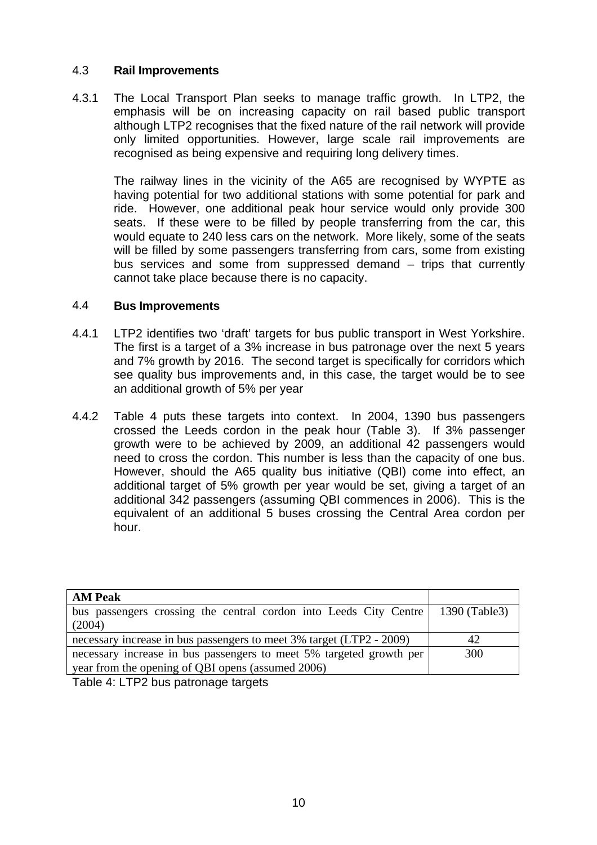# 4.3 **Rail Improvements**

4.3.1 The Local Transport Plan seeks to manage traffic growth. In LTP2, the emphasis will be on increasing capacity on rail based public transport although LTP2 recognises that the fixed nature of the rail network will provide only limited opportunities. However, large scale rail improvements are recognised as being expensive and requiring long delivery times.

The railway lines in the vicinity of the A65 are recognised by WYPTE as having potential for two additional stations with some potential for park and ride. However, one additional peak hour service would only provide 300 seats. If these were to be filled by people transferring from the car, this would equate to 240 less cars on the network. More likely, some of the seats will be filled by some passengers transferring from cars, some from existing bus services and some from suppressed demand – trips that currently cannot take place because there is no capacity.

# 4.4 **Bus Improvements**

- 4.4.1 LTP2 identifies two 'draft' targets for bus public transport in West Yorkshire. The first is a target of a 3% increase in bus patronage over the next 5 years and 7% growth by 2016. The second target is specifically for corridors which see quality bus improvements and, in this case, the target would be to see an additional growth of 5% per year
- 4.4.2 Table 4 puts these targets into context. In 2004, 1390 bus passengers crossed the Leeds cordon in the peak hour (Table 3). If 3% passenger growth were to be achieved by 2009, an additional 42 passengers would need to cross the cordon. This number is less than the capacity of one bus. However, should the A65 quality bus initiative (QBI) come into effect, an additional target of 5% growth per year would be set, giving a target of an additional 342 passengers (assuming QBI commences in 2006). This is the equivalent of an additional 5 buses crossing the Central Area cordon per hour.

| <b>AM Peak</b>                                                       |               |
|----------------------------------------------------------------------|---------------|
| bus passengers crossing the central cordon into Leeds City Centre    | 1390 (Table3) |
| (2004)                                                               |               |
| necessary increase in bus passengers to meet 3% target (LTP2 - 2009) | 42            |
| necessary increase in bus passengers to meet 5% targeted growth per  | 300           |
| year from the opening of QBI opens (assumed 2006)                    |               |
|                                                                      |               |

Table 4: LTP2 bus patronage targets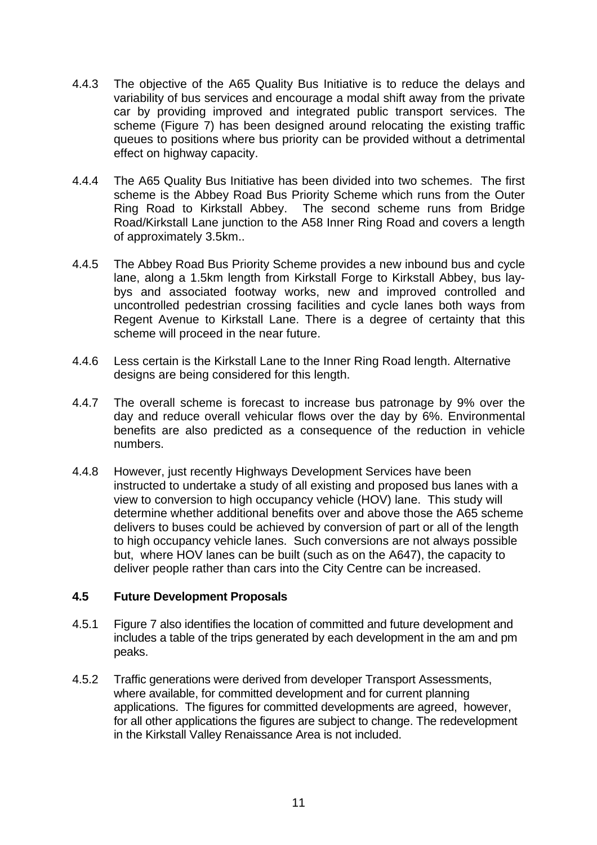- 4.4.3 The objective of the A65 Quality Bus Initiative is to reduce the delays and variability of bus services and encourage a modal shift away from the private car by providing improved and integrated public transport services. The scheme (Figure 7) has been designed around relocating the existing traffic queues to positions where bus priority can be provided without a detrimental effect on highway capacity.
- 4.4.4 The A65 Quality Bus Initiative has been divided into two schemes. The first scheme is the Abbey Road Bus Priority Scheme which runs from the Outer Ring Road to Kirkstall Abbey. The second scheme runs from Bridge Road/Kirkstall Lane junction to the A58 Inner Ring Road and covers a length of approximately 3.5km..
- 4.4.5 The Abbey Road Bus Priority Scheme provides a new inbound bus and cycle lane, along a 1.5km length from Kirkstall Forge to Kirkstall Abbey, bus laybys and associated footway works, new and improved controlled and uncontrolled pedestrian crossing facilities and cycle lanes both ways from Regent Avenue to Kirkstall Lane. There is a degree of certainty that this scheme will proceed in the near future.
- 4.4.6 Less certain is the Kirkstall Lane to the Inner Ring Road length. Alternative designs are being considered for this length.
- 4.4.7 The overall scheme is forecast to increase bus patronage by 9% over the day and reduce overall vehicular flows over the day by 6%. Environmental benefits are also predicted as a consequence of the reduction in vehicle numbers.
- 4.4.8 However, just recently Highways Development Services have been instructed to undertake a study of all existing and proposed bus lanes with a view to conversion to high occupancy vehicle (HOV) lane. This study will determine whether additional benefits over and above those the A65 scheme delivers to buses could be achieved by conversion of part or all of the length to high occupancy vehicle lanes. Such conversions are not always possible but, where HOV lanes can be built (such as on the A647), the capacity to deliver people rather than cars into the City Centre can be increased.

# **4.5 Future Development Proposals**

- 4.5.1 Figure 7 also identifies the location of committed and future development and includes a table of the trips generated by each development in the am and pm peaks.
- 4.5.2 Traffic generations were derived from developer Transport Assessments, where available, for committed development and for current planning applications. The figures for committed developments are agreed, however, for all other applications the figures are subject to change. The redevelopment in the Kirkstall Valley Renaissance Area is not included.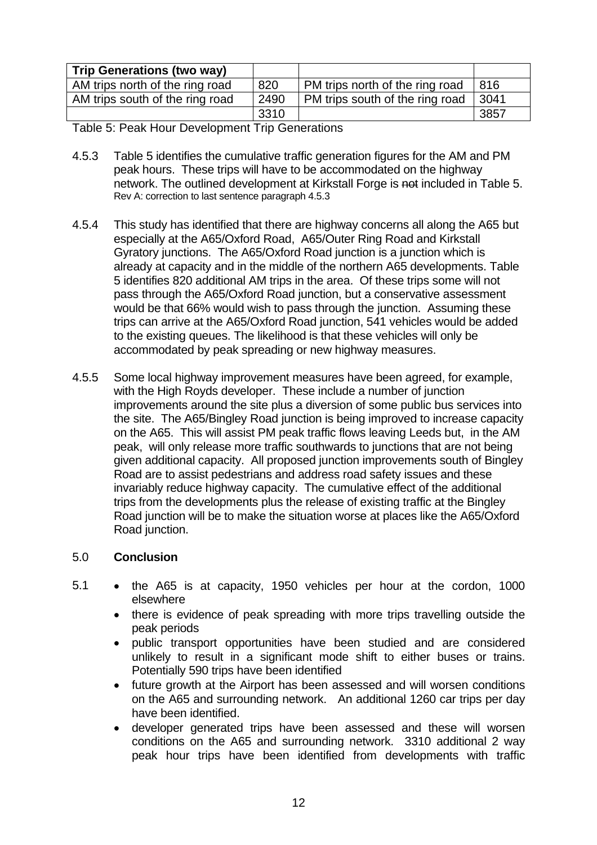| <b>Trip Generations (two way)</b> |      |                                 |      |
|-----------------------------------|------|---------------------------------|------|
| AM trips north of the ring road   | 820  | PM trips north of the ring road | 816  |
| AM trips south of the ring road   | 2490 | PM trips south of the ring road | 3041 |
|                                   | 3310 |                                 | 3857 |

Table 5: Peak Hour Development Trip Generations

- 4.5.3 Table 5 identifies the cumulative traffic generation figures for the AM and PM peak hours. These trips will have to be accommodated on the highway network. The outlined development at Kirkstall Forge is not included in Table 5. Rev A: correction to last sentence paragraph 4.5.3
- 4.5.4 This study has identified that there are highway concerns all along the A65 but especially at the A65/Oxford Road, A65/Outer Ring Road and Kirkstall Gyratory junctions. The A65/Oxford Road junction is a junction which is already at capacity and in the middle of the northern A65 developments. Table 5 identifies 820 additional AM trips in the area. Of these trips some will not pass through the A65/Oxford Road junction, but a conservative assessment would be that 66% would wish to pass through the junction. Assuming these trips can arrive at the A65/Oxford Road junction, 541 vehicles would be added to the existing queues. The likelihood is that these vehicles will only be accommodated by peak spreading or new highway measures.
- 4.5.5 Some local highway improvement measures have been agreed, for example, with the High Royds developer. These include a number of junction improvements around the site plus a diversion of some public bus services into the site. The A65/Bingley Road junction is being improved to increase capacity on the A65. This will assist PM peak traffic flows leaving Leeds but, in the AM peak, will only release more traffic southwards to junctions that are not being given additional capacity. All proposed junction improvements south of Bingley Road are to assist pedestrians and address road safety issues and these invariably reduce highway capacity. The cumulative effect of the additional trips from the developments plus the release of existing traffic at the Bingley Road junction will be to make the situation worse at places like the A65/Oxford Road junction.

# 5.0 **Conclusion**

- 5.1 the A65 is at capacity, 1950 vehicles per hour at the cordon, 1000 elsewhere
	- there is evidence of peak spreading with more trips travelling outside the peak periods
	- public transport opportunities have been studied and are considered unlikely to result in a significant mode shift to either buses or trains. Potentially 590 trips have been identified
	- future growth at the Airport has been assessed and will worsen conditions on the A65 and surrounding network. An additional 1260 car trips per day have been identified.
	- developer generated trips have been assessed and these will worsen conditions on the A65 and surrounding network. 3310 additional 2 way peak hour trips have been identified from developments with traffic